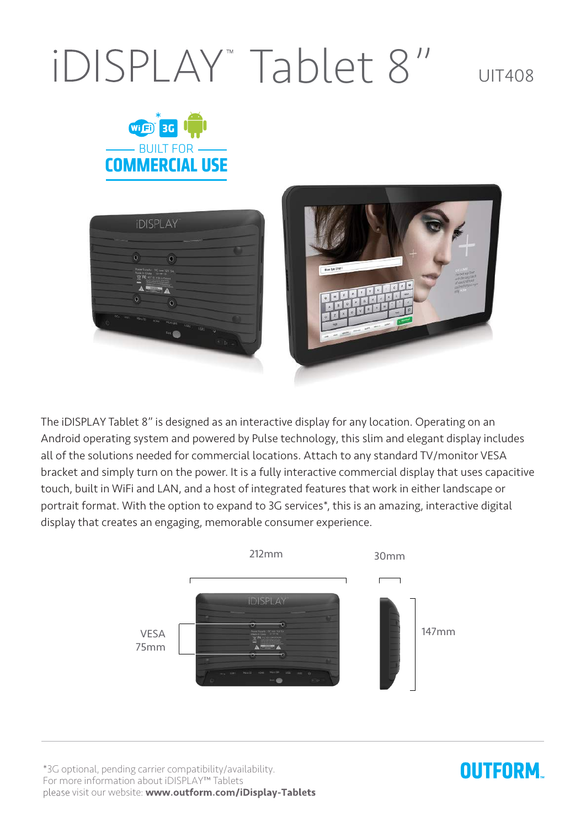## IDISPLAY<sup>"</sup> Tablet 8" UIT408







The iDISPLAY Tablet 8" is designed as an interactive display for any location. Operating on an Android operating system and powered by Pulse technology, this slim and elegant display includes all of the solutions needed for commercial locations. Attach to any standard TV/monitor VESA bracket and simply turn on the power. It is a fully interactive commercial display that uses capacitive touch, built in WiFi and LAN, and a host of integrated features that work in either landscape or portrait format. With the option to expand to 3G services\*, this is an amazing, interactive digital display that creates an engaging, memorable consumer experience.



\*3G optional, pending carrier compatibility/availability. For more information about iDISPLAY<sup>™</sup> Tablets please visit our website: www.outform.com/iDisplay-Tablets

## **OUTFORM**